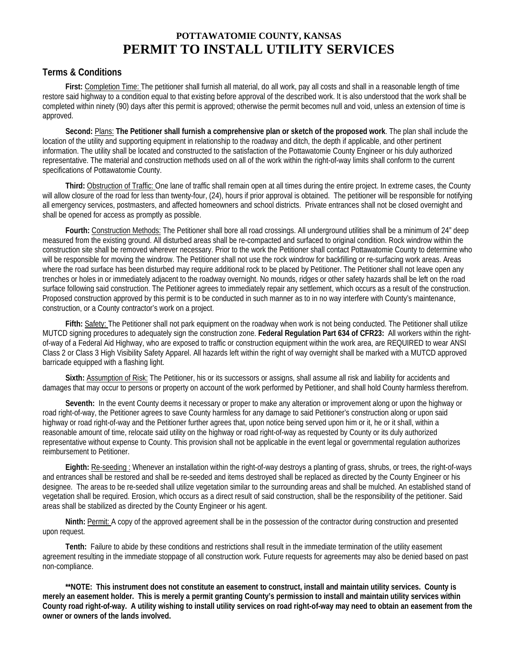## **POTTAWATOMIE COUNTY, KANSAS PERMIT TO INSTALL UTILITY SERVICES**

## **Terms & Conditions**

**First:** Completion Time: The petitioner shall furnish all material, do all work, pay all costs and shall in a reasonable length of time restore said highway to a condition equal to that existing before approval of the described work. It is also understood that the work shall be completed within ninety (90) days after this permit is approved; otherwise the permit becomes null and void, unless an extension of time is approved.

**Second:** Plans: **The Petitioner shall furnish a comprehensive plan or sketch of the proposed work**. The plan shall include the location of the utility and supporting equipment in relationship to the roadway and ditch, the depth if applicable, and other pertinent information. The utility shall be located and constructed to the satisfaction of the Pottawatomie County Engineer or his duly authorized representative. The material and construction methods used on all of the work within the right-of-way limits shall conform to the current specifications of Pottawatomie County.

**Third:** Obstruction of Traffic: One lane of traffic shall remain open at all times during the entire project. In extreme cases, the County will allow closure of the road for less than twenty-four, (24), hours if prior approval is obtained. The petitioner will be responsible for notifying all emergency services, postmasters, and affected homeowners and school districts. Private entrances shall not be closed overnight and shall be opened for access as promptly as possible.

**Fourth:** Construction Methods: The Petitioner shall bore all road crossings. All underground utilities shall be a minimum of 24" deep measured from the existing ground. All disturbed areas shall be re-compacted and surfaced to original condition. Rock windrow within the construction site shall be removed wherever necessary. Prior to the work the Petitioner shall contact Pottawatomie County to determine who will be responsible for moving the windrow. The Petitioner shall not use the rock windrow for backfilling or re-surfacing work areas. Areas where the road surface has been disturbed may require additional rock to be placed by Petitioner. The Petitioner shall not leave open any trenches or holes in or immediately adjacent to the roadway overnight. No mounds, ridges or other safety hazards shall be left on the road surface following said construction. The Petitioner agrees to immediately repair any settlement, which occurs as a result of the construction. Proposed construction approved by this permit is to be conducted in such manner as to in no way interfere with County's maintenance, construction, or a County contractor's work on a project.

**Fifth:** Safety: The Petitioner shall not park equipment on the roadway when work is not being conducted. The Petitioner shall utilize MUTCD signing procedures to adequately sign the construction zone. **Federal Regulation Part 634 of CFR23:** All workers within the rightof-way of a Federal Aid Highway, who are exposed to traffic or construction equipment within the work area, are REQUIRED to wear ANSI Class 2 or Class 3 High Visibility Safety Apparel. All hazards left within the right of way overnight shall be marked with a MUTCD approved barricade equipped with a flashing light.

**Sixth:** Assumption of Risk: The Petitioner, his or its successors or assigns, shall assume all risk and liability for accidents and damages that may occur to persons or property on account of the work performed by Petitioner, and shall hold County harmless therefrom.

**Seventh:** In the event County deems it necessary or proper to make any alteration or improvement along or upon the highway or road right-of-way, the Petitioner agrees to save County harmless for any damage to said Petitioner's construction along or upon said highway or road right-of-way and the Petitioner further agrees that, upon notice being served upon him or it, he or it shall, within a reasonable amount of time, relocate said utility on the highway or road right-of-way as requested by County or its duly authorized representative without expense to County. This provision shall not be applicable in the event legal or governmental regulation authorizes reimbursement to Petitioner.

**Eighth:** Re-seeding : Whenever an installation within the right-of-way destroys a planting of grass, shrubs, or trees, the right-of-ways and entrances shall be restored and shall be re-seeded and items destroyed shall be replaced as directed by the County Engineer or his designee. The areas to be re-seeded shall utilize vegetation similar to the surrounding areas and shall be mulched. An established stand of vegetation shall be required. Erosion, which occurs as a direct result of said construction, shall be the responsibility of the petitioner. Said areas shall be stabilized as directed by the County Engineer or his agent.

**Ninth:** Permit: A copy of the approved agreement shall be in the possession of the contractor during construction and presented upon request.

**Tenth:** Failure to abide by these conditions and restrictions shall result in the immediate termination of the utility easement agreement resulting in the immediate stoppage of all construction work. Future requests for agreements may also be denied based on past non-compliance.

**\*\*NOTE: This instrument does not constitute an easement to construct, install and maintain utility services. County is merely an easement holder. This is merely a permit granting County's permission to install and maintain utility services within County road right-of-way. A utility wishing to install utility services on road right-of-way may need to obtain an easement from the owner or owners of the lands involved.**